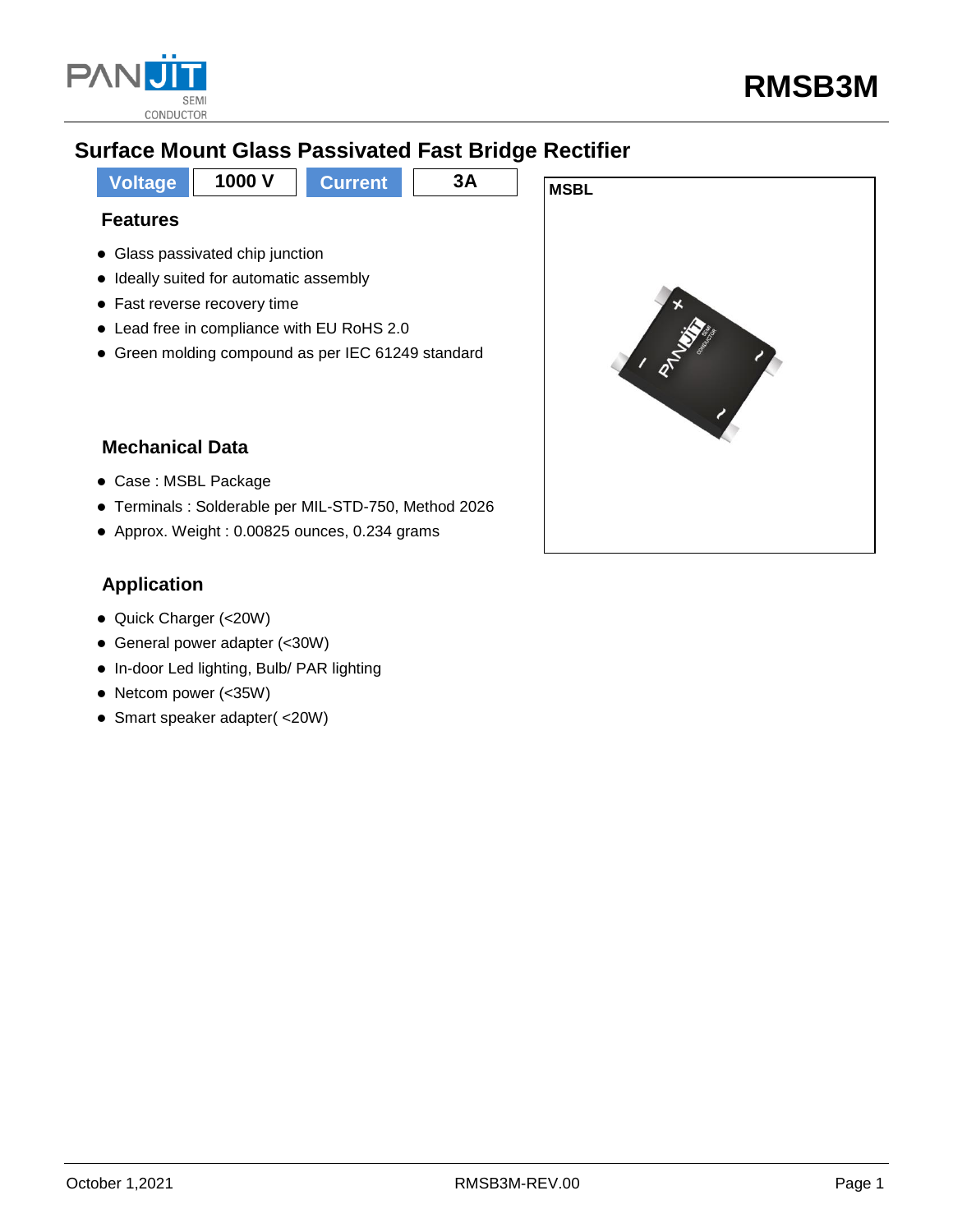

# **Surface Mount Glass Passivated Fast Bridge Rectifier**

**Voltage** 1000 V Current 3A MSBL **Features**

- Glass passivated chip junction
- Ideally suited for automatic assembly
- Fast reverse recovery time
- Lead free in compliance with EU RoHS 2.0
- Green molding compound as per IEC 61249 standard

### **Mechanical Data**

- Case : MSBL Package
- Terminals : Solderable per MIL-STD-750, Method 2026
- Approx. Weight : 0.00825 ounces, 0.234 grams

### **Application**

- Quick Charger (<20W)
- General power adapter (<30W)
- In-door Led lighting, Bulb/ PAR lighting
- Netcom power (<35W)
- Smart speaker adapter( <20W)

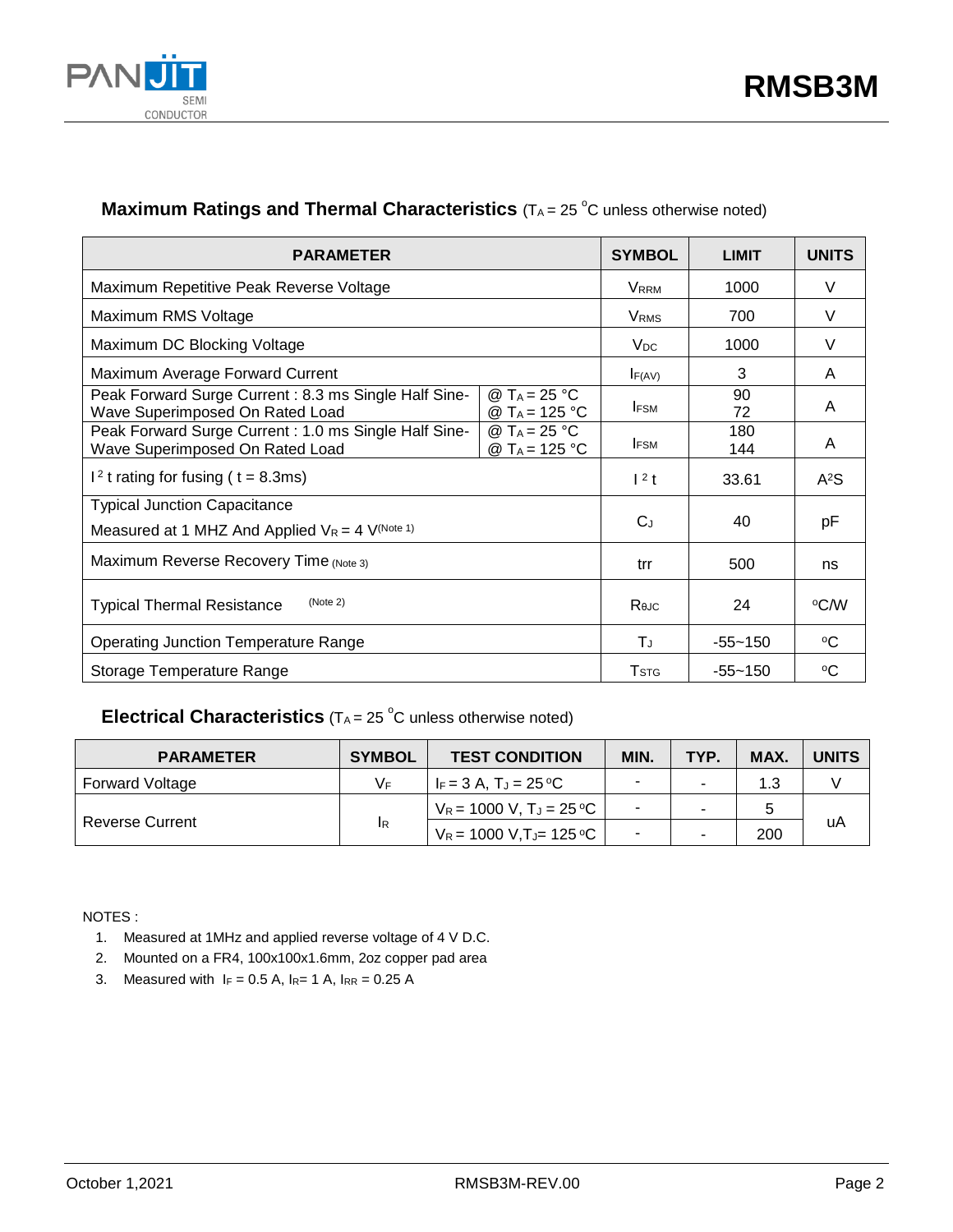

### **Maximum Ratings and Thermal Characteristics** (TA = 25 °C unless otherwise noted)

| <b>PARAMETER</b>                                                                                                                                 | <b>SYMBOL</b>           | <b>LIMIT</b> | <b>UNITS</b>     |
|--------------------------------------------------------------------------------------------------------------------------------------------------|-------------------------|--------------|------------------|
| Maximum Repetitive Peak Reverse Voltage                                                                                                          | <b>VRRM</b>             | 1000         | $\vee$           |
| Maximum RMS Voltage                                                                                                                              | VRMS                    | 700          | V                |
| Maximum DC Blocking Voltage                                                                                                                      | V <sub>DC</sub>         | 1000         | V                |
| Maximum Average Forward Current                                                                                                                  | F(AV)                   | 3            | A                |
| Peak Forward Surge Current: 8.3 ms Single Half Sine-<br>@ T <sub>A</sub> = 25 °C<br>Wave Superimposed On Rated Load<br>@ T <sub>A</sub> = 125 °C | <b>IFSM</b>             | 90<br>72     | A                |
| Peak Forward Surge Current: 1.0 ms Single Half Sine-<br>@ T <sub>A</sub> = 25 °C<br>Wave Superimposed On Rated Load<br>@ T <sub>A</sub> = 125 °C | <b>IFSM</b>             | 180<br>144   | A                |
| $12$ t rating for fusing ( t = 8.3ms)                                                                                                            | $1^2$ t                 | 33.61        | A <sup>2</sup> S |
| <b>Typical Junction Capacitance</b><br>Measured at 1 MHZ And Applied $V_R = 4$ V <sup>(Note 1)</sup>                                             | $C_{J}$                 | 40           | рF               |
| Maximum Reverse Recovery Time (Note 3)                                                                                                           | trr                     | 500          | ns               |
| (Note 2)<br><b>Typical Thermal Resistance</b>                                                                                                    | $R_{\theta$ JC          | 24           | °C⁄W             |
| <b>Operating Junction Temperature Range</b>                                                                                                      | ΤJ                      | $-55 - 150$  | $\rm ^{o}C$      |
| Storage Temperature Range                                                                                                                        | <b>T</b> <sub>STG</sub> | $-55 - 150$  | ∘C               |

### **Electrical Characteristics** (T<sub>A</sub> = 25 °C unless otherwise noted)

| <b>PARAMETER</b>       | <b>SYMBOL</b> | <b>TEST CONDITION</b>        | MIN.                     | TYP. | MAX. | <b>UNITS</b> |  |
|------------------------|---------------|------------------------------|--------------------------|------|------|--------------|--|
| <b>Forward Voltage</b> | VF.           | $F = 3 A. T_J = 25 °C$       | $\overline{\phantom{0}}$ |      |      |              |  |
| <b>Reverse Current</b> | <b>IR</b>     | $V_R = 1000 V, T_J = 25 °C$  | $\sim$                   |      |      |              |  |
|                        |               | $V_R$ = 1000 V, T J = 125 °C | $\blacksquare$           |      | 200  | uA           |  |

NOTES :

- 1. Measured at 1MHz and applied reverse voltage of 4 V D.C.
- 2. Mounted on a FR4, 100x100x1.6mm, 2oz copper pad area
- 3. Measured with  $I_F = 0.5 A$ ,  $I_{R} = 1 A$ ,  $I_{RR} = 0.25 A$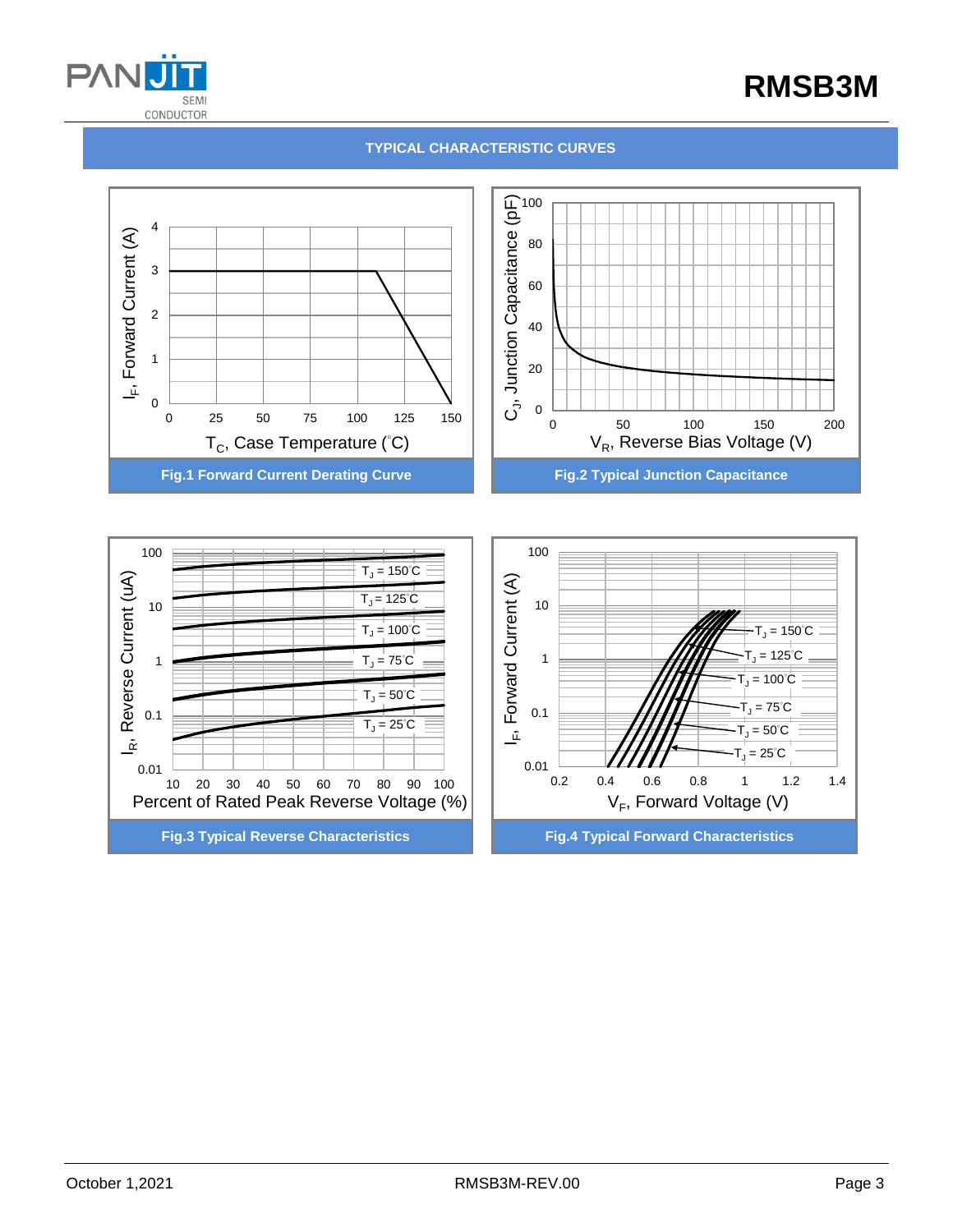

# **RMSB3M**

#### **TYPICAL CHARACTERISTIC CURVES**



**Fig.3 Typical Reverse Characteristics Fig.4 Typical Forward Characteristics**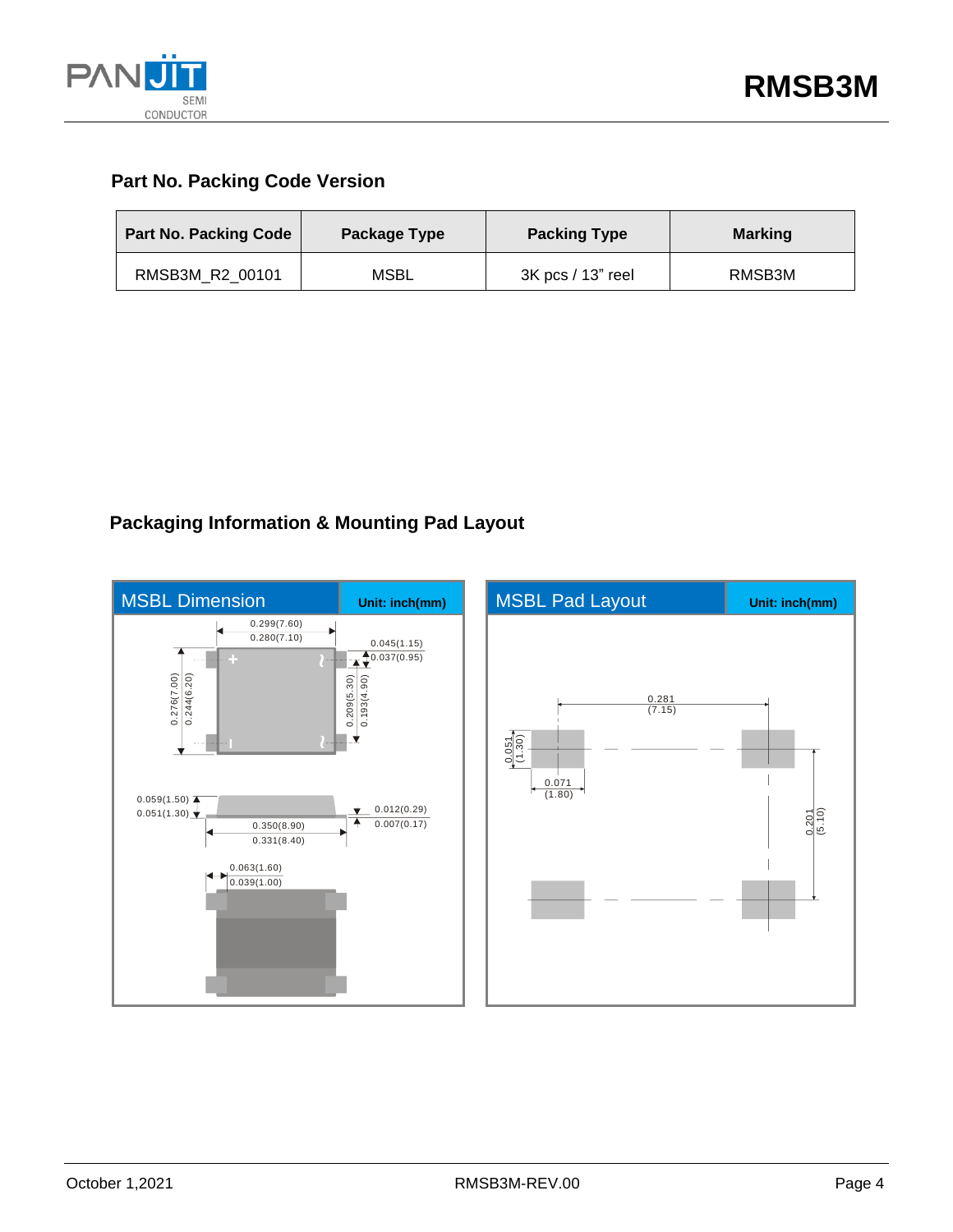

### **Part No. Packing Code Version**

| <b>Part No. Packing Code</b> | Package Type | <b>Packing Type</b> | <b>Marking</b> |
|------------------------------|--------------|---------------------|----------------|
| RMSB3M R2 00101              | <b>MSBL</b>  | 3K pcs / 13" reel   | RMSB3M         |

## **Packaging Information & Mounting Pad Layout**